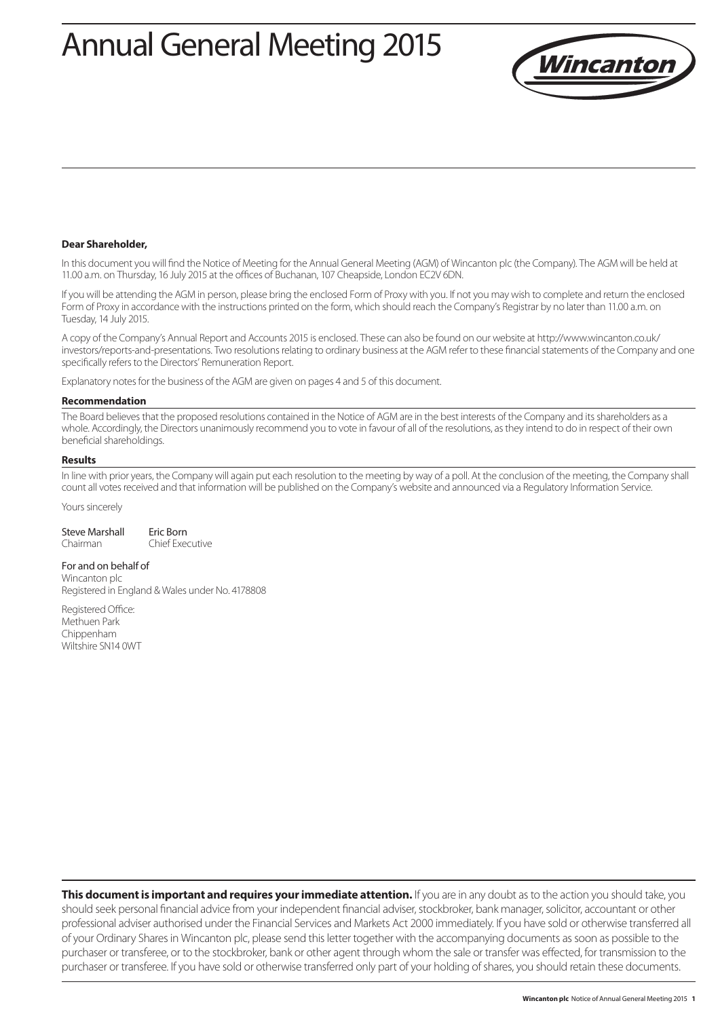# Annual General Meeting 2015



#### **Dear Shareholder,**

In this document you will find the Notice of Meeting for the Annual General Meeting (AGM) of Wincanton plc (the Company). The AGM will be held at 11.00 a.m. on Thursday, 16 July 2015 at the offices of Buchanan, 107 Cheapside, London EC2V 6DN.

If you will be attending the AGM in person, please bring the enclosed Form of Proxy with you. If not you may wish to complete and return the enclosed Form of Proxy in accordance with the instructions printed on the form, which should reach the Company's Registrar by no later than 11.00 a.m. on Tuesday, 14 July 2015.

A copy of the Company's Annual Report and Accounts 2015 is enclosed. These can also be found on our website at http://www.wincanton.co.uk/ investors/reports-and-presentations. Two resolutions relating to ordinary business at the AGM refer to these financial statements of the Company and one specifically refers to the Directors' Remuneration Report.

Explanatory notes for the business of the AGM are given on pages 4 and 5 of this document.

#### **Recommendation**

The Board believes that the proposed resolutions contained in the Notice of AGM are in the best interests of the Company and its shareholders as a whole. Accordingly, the Directors unanimously recommend you to vote in favour of all of the resolutions, as they intend to do in respect of their own beneficial shareholdings.

#### **Results**

In line with prior years, the Company will again put each resolution to the meeting by way of a poll. At the conclusion of the meeting, the Company shall count all votes received and that information will be published on the Company's website and announced via a Regulatory Information Service.

#### Yours sincerely

| Steve Marshall | Eric Born       |
|----------------|-----------------|
| Chairman       | Chief Executive |

#### For and on behalf of

Wincanton plc Registered in England & Wales under No. 4178808

Registered Office: Methuen Park Chippenham Wiltshire SN14 0WT

**This document is important and requires your immediate attention.** If you are in any doubt as to the action you should take, you should seek personal financial advice from your independent financial adviser, stockbroker, bank manager, solicitor, accountant or other professional adviser authorised under the Financial Services and Markets Act 2000 immediately. If you have sold or otherwise transferred all of your Ordinary Shares in Wincanton plc, please send this letter together with the accompanying documents as soon as possible to the purchaser or transferee, or to the stockbroker, bank or other agent through whom the sale or transfer was effected, for transmission to the purchaser or transferee. If you have sold or otherwise transferred only part of your holding of shares, you should retain these documents.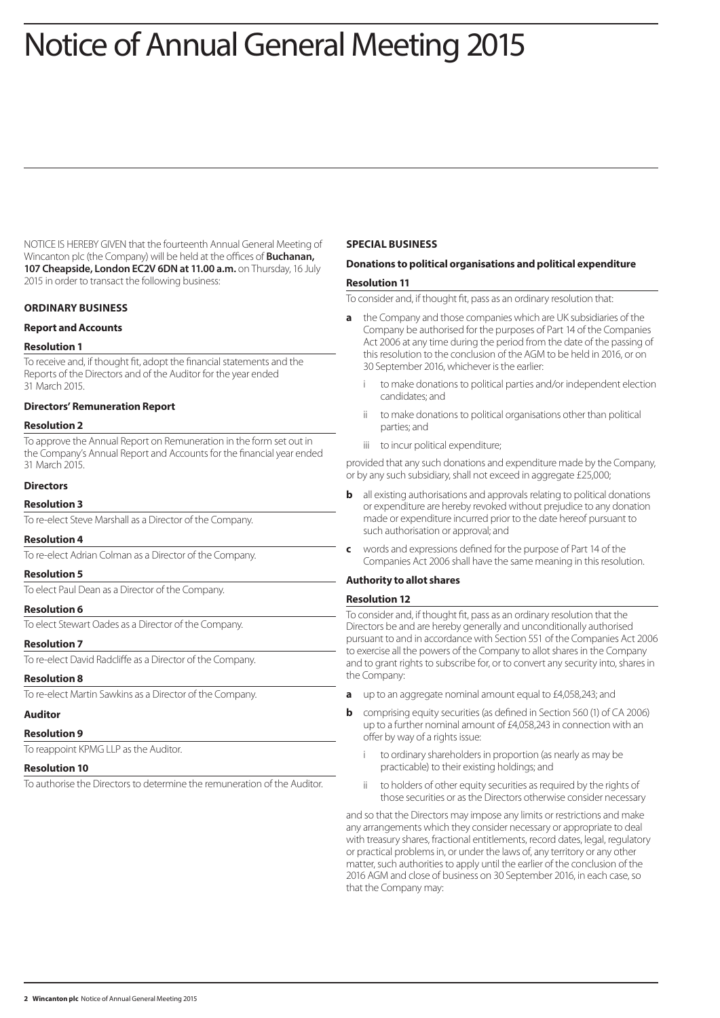# Notice of Annual General Meeting 2015

NOTICE IS HEREBY GIVEN that the fourteenth Annual General Meeting of Wincanton plc (the Company) will be held at the offices of **Buchanan, 107 Cheapside, London EC2V 6DN at 11.00 a.m.** on Thursday, 16 July 2015 in order to transact the following business:

# **ORDINARY BUSINESS**

## **Report and Accounts**

## **Resolution 1**

To receive and, if thought fit, adopt the financial statements and the Reports of the Directors and of the Auditor for the year ended 31 March 2015.

# **Directors' Remuneration Report**

## **Resolution 2**

To approve the Annual Report on Remuneration in the form set out in the Company's Annual Report and Accounts for the financial year ended 31 March 2015.

# **Directors**

## **Resolution 3**

To re-elect Steve Marshall as a Director of the Company.

## **Resolution 4**

To re-elect Adrian Colman as a Director of the Company.

# **Resolution 5**

To elect Paul Dean as a Director of the Company. **Resolution 6**

To elect Stewart Oades as a Director of the Company.

## **Resolution 7**

To re-elect David Radcliffe as a Director of the Company.

# **Resolution 8**

To re-elect Martin Sawkins as a Director of the Company.

## **Auditor**

#### **Resolution 9**

To reappoint KPMG LLP as the Auditor.

#### **Resolution 10**

To authorise the Directors to determine the remuneration of the Auditor.

#### **SPECIAL BUSINESS**

# **Donations to political organisations and political expenditure**

#### **Resolution 11**

To consider and, if thought fit, pass as an ordinary resolution that:

- **a** the Company and those companies which are UK subsidiaries of the Company be authorised for the purposes of Part 14 of the Companies Act 2006 at any time during the period from the date of the passing of this resolution to the conclusion of the AGM to be held in 2016, or on 30 September 2016, whichever is the earlier:
	- to make donations to political parties and/or independent election candidates; and
	- ii to make donations to political organisations other than political parties; and
	- iii to incur political expenditure;

provided that any such donations and expenditure made by the Company, or by any such subsidiary, shall not exceed in aggregate £25,000;

- **b** all existing authorisations and approvals relating to political donations or expenditure are hereby revoked without prejudice to any donation made or expenditure incurred prior to the date hereof pursuant to such authorisation or approval; and
- **c** words and expressions defined for the purpose of Part 14 of the Companies Act 2006 shall have the same meaning in this resolution.

# **Authority to allot shares**

## **Resolution 12**

To consider and, if thought fit, pass as an ordinary resolution that the Directors be and are hereby generally and unconditionally authorised pursuant to and in accordance with Section 551 of the Companies Act 2006 to exercise all the powers of the Company to allot shares in the Company and to grant rights to subscribe for, or to convert any security into, shares in the Company:

- **a** up to an aggregate nominal amount equal to £4,058,243; and
- **b** comprising equity securities (as defined in Section 560 (1) of CA 2006) up to a further nominal amount of £4,058,243 in connection with an offer by way of a rights issue:
	- to ordinary shareholders in proportion (as nearly as may be practicable) to their existing holdings; and
	- ii to holders of other equity securities as required by the rights of those securities or as the Directors otherwise consider necessary

and so that the Directors may impose any limits or restrictions and make any arrangements which they consider necessary or appropriate to deal with treasury shares, fractional entitlements, record dates, legal, regulatory or practical problems in, or under the laws of, any territory or any other matter, such authorities to apply until the earlier of the conclusion of the 2016 AGM and close of business on 30 September 2016, in each case, so that the Company may: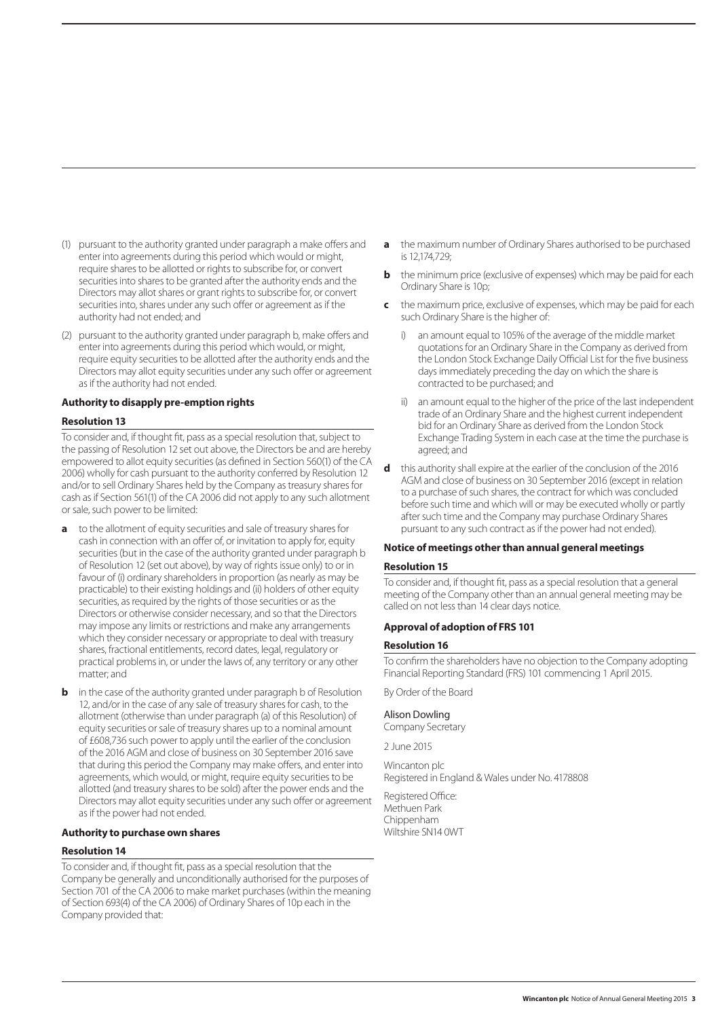- (1) pursuant to the authority granted under paragraph a make offers and enter into agreements during this period which would or might, require shares to be allotted or rights to subscribe for, or convert securities into shares to be granted after the authority ends and the Directors may allot shares or grant rights to subscribe for, or convert securities into, shares under any such offer or agreement as if the authority had not ended; and
- (2) pursuant to the authority granted under paragraph b, make offers and enter into agreements during this period which would, or might, require equity securities to be allotted after the authority ends and the Directors may allot equity securities under any such offer or agreement as if the authority had not ended.

#### **Authority to disapply pre-emption rights**

#### **Resolution 13**

To consider and, if thought fit, pass as a special resolution that, subject to the passing of Resolution 12 set out above, the Directors be and are hereby empowered to allot equity securities (as defined in Section 560(1) of the CA 2006) wholly for cash pursuant to the authority conferred by Resolution 12 and/or to sell Ordinary Shares held by the Company as treasury shares for cash as if Section 561(1) of the CA 2006 did not apply to any such allotment or sale, such power to be limited:

- **a** to the allotment of equity securities and sale of treasury shares for cash in connection with an offer of, or invitation to apply for, equity securities (but in the case of the authority granted under paragraph b of Resolution 12 (set out above), by way of rights issue only) to or in favour of (i) ordinary shareholders in proportion (as nearly as may be practicable) to their existing holdings and (ii) holders of other equity securities, as required by the rights of those securities or as the Directors or otherwise consider necessary, and so that the Directors may impose any limits or restrictions and make any arrangements which they consider necessary or appropriate to deal with treasury shares, fractional entitlements, record dates, legal, regulatory or practical problems in, or under the laws of, any territory or any other matter; and
- **b** in the case of the authority granted under paragraph b of Resolution 12, and/or in the case of any sale of treasury shares for cash, to the allotment (otherwise than under paragraph (a) of this Resolution) of equity securities or sale of treasury shares up to a nominal amount of £608,736 such power to apply until the earlier of the conclusion of the 2016 AGM and close of business on 30 September 2016 save that during this period the Company may make offers, and enter into agreements, which would, or might, require equity securities to be allotted (and treasury shares to be sold) after the power ends and the Directors may allot equity securities under any such offer or agreement as if the power had not ended.

# **Authority to purchase own shares**

#### **Resolution 14**

To consider and, if thought fit, pass as a special resolution that the Company be generally and unconditionally authorised for the purposes of Section 701 of the CA 2006 to make market purchases (within the meaning of Section 693(4) of the CA 2006) of Ordinary Shares of 10p each in the Company provided that:

- **a** the maximum number of Ordinary Shares authorised to be purchased is 12,174,729;
- **b** the minimum price (exclusive of expenses) which may be paid for each Ordinary Share is 10p;
- **c** the maximum price, exclusive of expenses, which may be paid for each such Ordinary Share is the higher of:
	- i) an amount equal to 105% of the average of the middle market quotations for an Ordinary Share in the Company as derived from the London Stock Exchange Daily Official List for the five business days immediately preceding the day on which the share is contracted to be purchased; and
	- ii) an amount equal to the higher of the price of the last independent trade of an Ordinary Share and the highest current independent bid for an Ordinary Share as derived from the London Stock Exchange Trading System in each case at the time the purchase is agreed; and
- **d** this authority shall expire at the earlier of the conclusion of the 2016 AGM and close of business on 30 September 2016 (except in relation to a purchase of such shares, the contract for which was concluded before such time and which will or may be executed wholly or partly after such time and the Company may purchase Ordinary Shares pursuant to any such contract as if the power had not ended).

## **Notice of meetings other than annual general meetings**

#### **Resolution 15**

To consider and, if thought fit, pass as a special resolution that a general meeting of the Company other than an annual general meeting may be called on not less than 14 clear days notice.

## **Approval of adoption of FRS 101**

#### **Resolution 16**

To confirm the shareholders have no objection to the Company adopting Financial Reporting Standard (FRS) 101 commencing 1 April 2015.

By Order of the Board

#### Alison Dowling

Company Secretary

2 June 2015

Wincanton plc Registered in England & Wales under No. 4178808

Registered Office: Methuen Park Chippenham Wiltshire SN14 0WT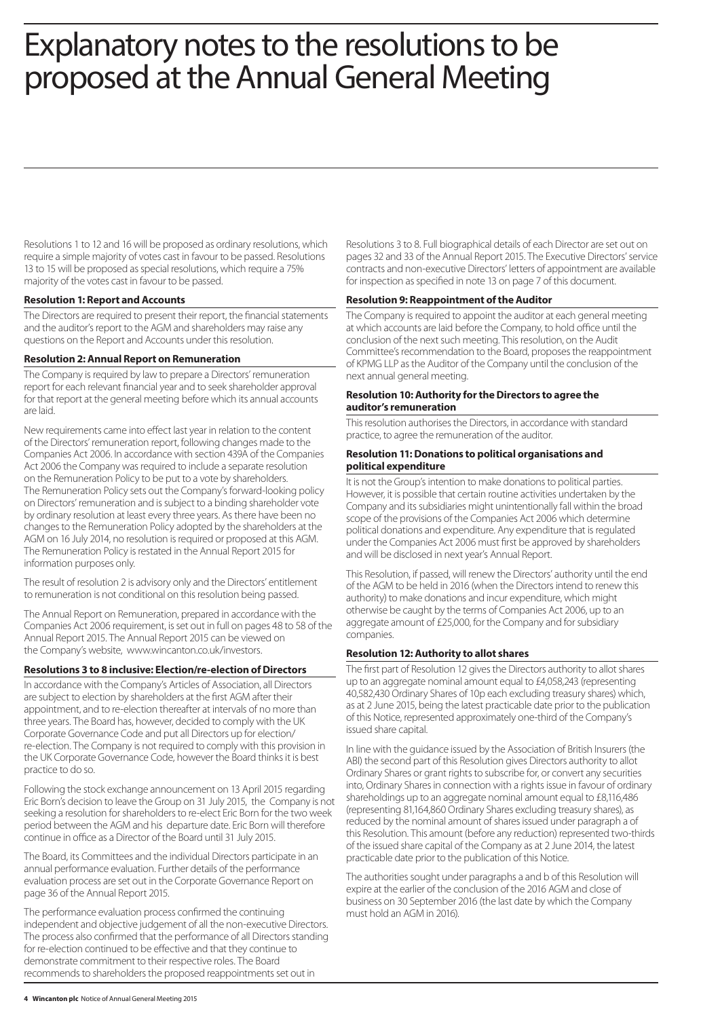# Explanatory notes to the resolutions to be proposed at the Annual General Meeting

Resolutions 1 to 12 and 16 will be proposed as ordinary resolutions, which require a simple majority of votes cast in favour to be passed. Resolutions 13 to 15 will be proposed as special resolutions, which require a 75% majority of the votes cast in favour to be passed.

# **Resolution 1: Report and Accounts**

The Directors are required to present their report, the financial statements and the auditor's report to the AGM and shareholders may raise any questions on the Report and Accounts under this resolution.

## **Resolution 2: Annual Report on Remuneration**

The Company is required by law to prepare a Directors' remuneration report for each relevant financial year and to seek shareholder approval for that report at the general meeting before which its annual accounts are laid.

New requirements came into effect last year in relation to the content of the Directors' remuneration report, following changes made to the Companies Act 2006. In accordance with section 439A of the Companies Act 2006 the Company was required to include a separate resolution on the Remuneration Policy to be put to a vote by shareholders. The Remuneration Policy sets out the Company's forward-looking policy on Directors' remuneration and is subject to a binding shareholder vote by ordinary resolution at least every three years. As there have been no changes to the Remuneration Policy adopted by the shareholders at the AGM on 16 July 2014, no resolution is required or proposed at this AGM. The Remuneration Policy is restated in the Annual Report 2015 for information purposes only.

The result of resolution 2 is advisory only and the Directors' entitlement to remuneration is not conditional on this resolution being passed.

The Annual Report on Remuneration, prepared in accordance with the Companies Act 2006 requirement, is set out in full on pages 48 to 58 of the Annual Report 2015. The Annual Report 2015 can be viewed on the Company's website, www.wincanton.co.uk/investors.

# **Resolutions 3 to 8 inclusive: Election/re-election of Directors**

In accordance with the Company's Articles of Association, all Directors are subject to election by shareholders at the first AGM after their appointment, and to re-election thereafter at intervals of no more than three years. The Board has, however, decided to comply with the UK Corporate Governance Code and put all Directors up for election/ re-election. The Company is not required to comply with this provision in the UK Corporate Governance Code, however the Board thinks it is best practice to do so.

Following the stock exchange announcement on 13 April 2015 regarding Eric Born's decision to leave the Group on 31 July 2015, the Company is not seeking a resolution for shareholders to re-elect Eric Born for the two week period between the AGM and his departure date. Eric Born will therefore continue in office as a Director of the Board until 31 July 2015.

The Board, its Committees and the individual Directors participate in an annual performance evaluation. Further details of the performance evaluation process are set out in the Corporate Governance Report on page 36 of the Annual Report 2015.

The performance evaluation process confirmed the continuing independent and objective judgement of all the non-executive Directors. The process also confirmed that the performance of all Directors standing for re-election continued to be effective and that they continue to demonstrate commitment to their respective roles. The Board recommends to shareholders the proposed reappointments set out in

Resolutions 3 to 8. Full biographical details of each Director are set out on pages 32 and 33 of the Annual Report 2015. The Executive Directors' service contracts and non-executive Directors' letters of appointment are available for inspection as specified in note 13 on page 7 of this document.

# **Resolution 9: Reappointment of the Auditor**

The Company is required to appoint the auditor at each general meeting at which accounts are laid before the Company, to hold office until the conclusion of the next such meeting. This resolution, on the Audit Committee's recommendation to the Board, proposes the reappointment of KPMG LLP as the Auditor of the Company until the conclusion of the next annual general meeting.

# **Resolution 10: Authority for the Directors to agree the auditor's remuneration**

This resolution authorises the Directors, in accordance with standard practice, to agree the remuneration of the auditor.

## **Resolution 11: Donations to political organisations and political expenditure**

It is not the Group's intention to make donations to political parties. However, it is possible that certain routine activities undertaken by the Company and its subsidiaries might unintentionally fall within the broad scope of the provisions of the Companies Act 2006 which determine political donations and expenditure. Any expenditure that is regulated under the Companies Act 2006 must first be approved by shareholders and will be disclosed in next year's Annual Report.

This Resolution, if passed, will renew the Directors' authority until the end of the AGM to be held in 2016 (when the Directors intend to renew this authority) to make donations and incur expenditure, which might otherwise be caught by the terms of Companies Act 2006, up to an aggregate amount of £25,000, for the Company and for subsidiary companies.

# **Resolution 12: Authority to allot shares**

The first part of Resolution 12 gives the Directors authority to allot shares up to an aggregate nominal amount equal to £4,058,243 (representing 40,582,430 Ordinary Shares of 10p each excluding treasury shares) which, as at 2 June 2015, being the latest practicable date prior to the publication of this Notice, represented approximately one-third of the Company's issued share capital.

In line with the guidance issued by the Association of British Insurers (the ABI) the second part of this Resolution gives Directors authority to allot Ordinary Shares or grant rights to subscribe for, or convert any securities into, Ordinary Shares in connection with a rights issue in favour of ordinary shareholdings up to an aggregate nominal amount equal to £8,116,486 (representing 81,164,860 Ordinary Shares excluding treasury shares), as reduced by the nominal amount of shares issued under paragraph a of this Resolution. This amount (before any reduction) represented two-thirds of the issued share capital of the Company as at 2 June 2014, the latest practicable date prior to the publication of this Notice.

The authorities sought under paragraphs a and b of this Resolution will expire at the earlier of the conclusion of the 2016 AGM and close of business on 30 September 2016 (the last date by which the Company must hold an AGM in 2016).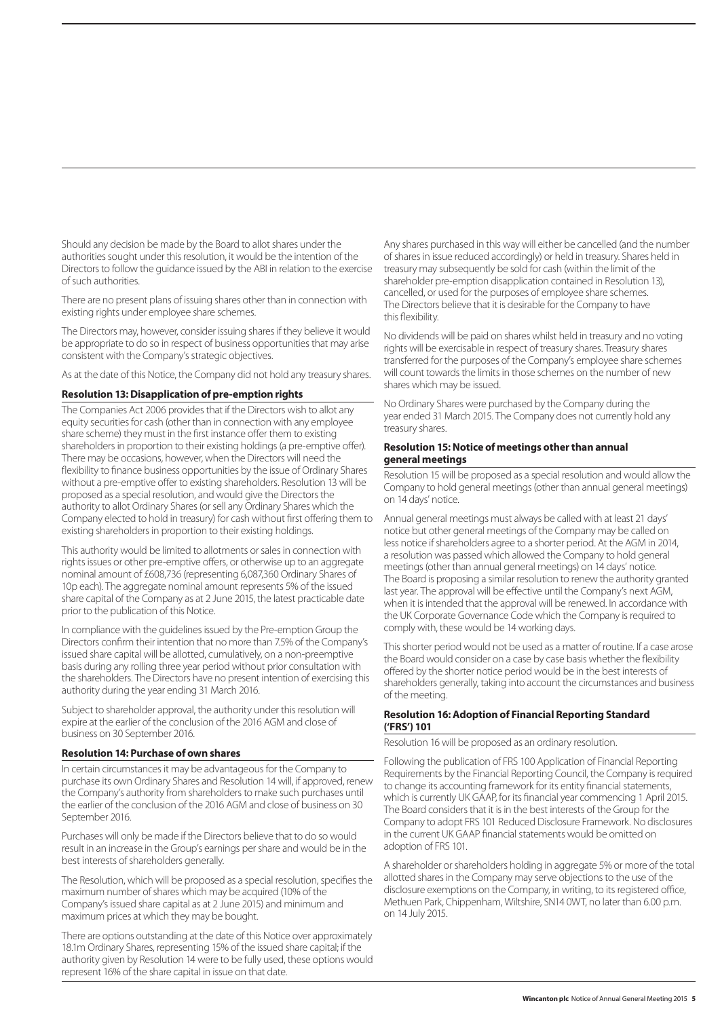Should any decision be made by the Board to allot shares under the authorities sought under this resolution, it would be the intention of the Directors to follow the guidance issued by the ABI in relation to the exercise of such authorities.

There are no present plans of issuing shares other than in connection with existing rights under employee share schemes.

The Directors may, however, consider issuing shares if they believe it would be appropriate to do so in respect of business opportunities that may arise consistent with the Company's strategic objectives.

As at the date of this Notice, the Company did not hold any treasury shares.

## **Resolution 13: Disapplication of pre-emption rights**

The Companies Act 2006 provides that if the Directors wish to allot any equity securities for cash (other than in connection with any employee share scheme) they must in the first instance offer them to existing shareholders in proportion to their existing holdings (a pre-emptive offer). There may be occasions, however, when the Directors will need the flexibility to finance business opportunities by the issue of Ordinary Shares without a pre-emptive offer to existing shareholders. Resolution 13 will be proposed as a special resolution, and would give the Directors the authority to allot Ordinary Shares (or sell any Ordinary Shares which the Company elected to hold in treasury) for cash without first offering them to existing shareholders in proportion to their existing holdings.

This authority would be limited to allotments or sales in connection with rights issues or other pre-emptive offers, or otherwise up to an aggregate nominal amount of £608,736 (representing 6,087,360 Ordinary Shares of 10p each). The aggregate nominal amount represents 5% of the issued share capital of the Company as at 2 June 2015, the latest practicable date prior to the publication of this Notice.

In compliance with the guidelines issued by the Pre-emption Group the Directors confirm their intention that no more than 7.5% of the Company's issued share capital will be allotted, cumulatively, on a non-preemptive basis during any rolling three year period without prior consultation with the shareholders. The Directors have no present intention of exercising this authority during the year ending 31 March 2016.

Subject to shareholder approval, the authority under this resolution will expire at the earlier of the conclusion of the 2016 AGM and close of business on 30 September 2016.

## **Resolution 14: Purchase of own shares**

In certain circumstances it may be advantageous for the Company to purchase its own Ordinary Shares and Resolution 14 will, if approved, renew the Company's authority from shareholders to make such purchases until the earlier of the conclusion of the 2016 AGM and close of business on 30 September 2016.

Purchases will only be made if the Directors believe that to do so would result in an increase in the Group's earnings per share and would be in the best interests of shareholders generally.

The Resolution, which will be proposed as a special resolution, specifies the maximum number of shares which may be acquired (10% of the Company's issued share capital as at 2 June 2015) and minimum and maximum prices at which they may be bought.

There are options outstanding at the date of this Notice over approximately 18.1m Ordinary Shares, representing 15% of the issued share capital; if the authority given by Resolution 14 were to be fully used, these options would represent 16% of the share capital in issue on that date.

Any shares purchased in this way will either be cancelled (and the number of shares in issue reduced accordingly) or held in treasury. Shares held in treasury may subsequently be sold for cash (within the limit of the shareholder pre-emption disapplication contained in Resolution 13), cancelled, or used for the purposes of employee share schemes. The Directors believe that it is desirable for the Company to have this flexibility.

No dividends will be paid on shares whilst held in treasury and no voting rights will be exercisable in respect of treasury shares. Treasury shares transferred for the purposes of the Company's employee share schemes will count towards the limits in those schemes on the number of new shares which may be issued.

No Ordinary Shares were purchased by the Company during the year ended 31 March 2015. The Company does not currently hold any treasury shares.

#### **Resolution 15: Notice of meetings other than annual general meetings**

Resolution 15 will be proposed as a special resolution and would allow the Company to hold general meetings (other than annual general meetings) on 14 days' notice.

Annual general meetings must always be called with at least 21 days' notice but other general meetings of the Company may be called on less notice if shareholders agree to a shorter period. At the AGM in 2014, a resolution was passed which allowed the Company to hold general meetings (other than annual general meetings) on 14 days' notice. The Board is proposing a similar resolution to renew the authority granted last year. The approval will be effective until the Company's next AGM, when it is intended that the approval will be renewed. In accordance with the UK Corporate Governance Code which the Company is required to comply with, these would be 14 working days.

This shorter period would not be used as a matter of routine. If a case arose the Board would consider on a case by case basis whether the flexibility offered by the shorter notice period would be in the best interests of shareholders generally, taking into account the circumstances and business of the meeting.

# **Resolution 16: Adoption of Financial Reporting Standard ('FRS') 101**

Resolution 16 will be proposed as an ordinary resolution.

Following the publication of FRS 100 Application of Financial Reporting Requirements by the Financial Reporting Council, the Company is required to change its accounting framework for its entity financial statements, which is currently UK GAAP, for its financial year commencing 1 April 2015. The Board considers that it is in the best interests of the Group for the Company to adopt FRS 101 Reduced Disclosure Framework. No disclosures in the current UK GAAP financial statements would be omitted on adoption of FRS 101.

A shareholder or shareholders holding in aggregate 5% or more of the total allotted shares in the Company may serve objections to the use of the disclosure exemptions on the Company, in writing, to its registered office, Methuen Park, Chippenham, Wiltshire, SN14 0WT, no later than 6.00 p.m. on 14 July 2015.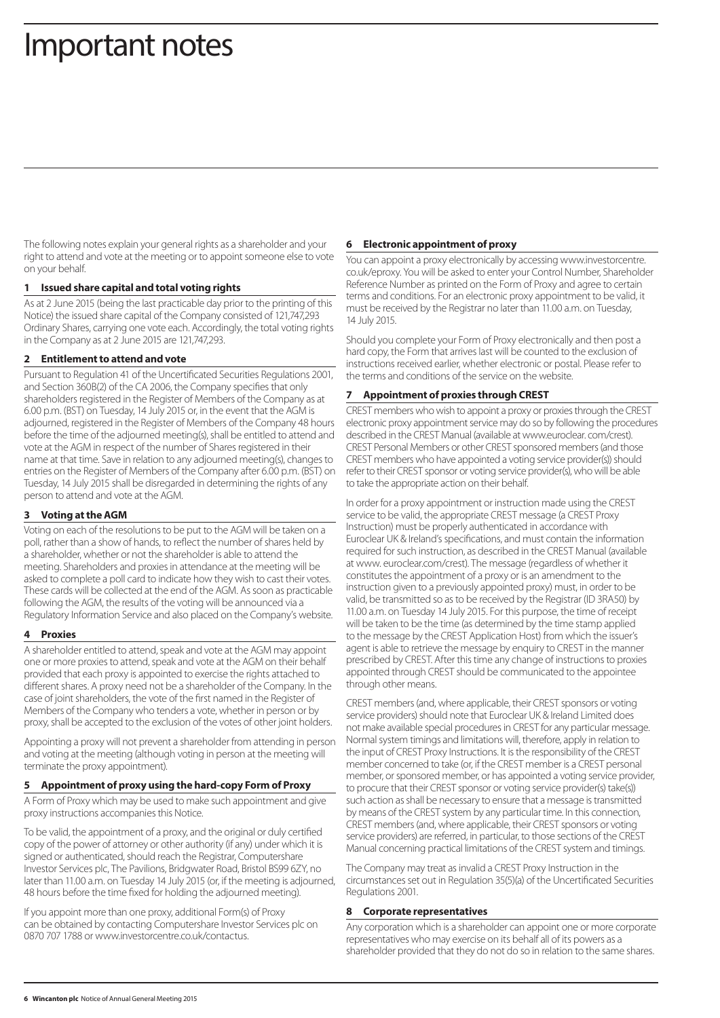# Important notes

The following notes explain your general rights as a shareholder and your right to attend and vote at the meeting or to appoint someone else to vote on your behalf.

## **1 Issued share capital and total voting rights**

As at 2 June 2015 (being the last practicable day prior to the printing of this Notice) the issued share capital of the Company consisted of 121,747,293 Ordinary Shares, carrying one vote each. Accordingly, the total voting rights in the Company as at 2 June 2015 are 121,747,293.

# **2 Entitlement to attend and vote**

Pursuant to Regulation 41 of the Uncertificated Securities Regulations 2001, and Section 360B(2) of the CA 2006, the Company specifies that only shareholders registered in the Register of Members of the Company as at 6.00 p.m. (BST) on Tuesday, 14 July 2015 or, in the event that the AGM is adjourned, registered in the Register of Members of the Company 48 hours before the time of the adjourned meeting(s), shall be entitled to attend and vote at the AGM in respect of the number of Shares registered in their name at that time. Save in relation to any adjourned meeting(s), changes to entries on the Register of Members of the Company after 6.00 p.m. (BST) on Tuesday, 14 July 2015 shall be disregarded in determining the rights of any person to attend and vote at the AGM.

# **3 Voting at the AGM**

Voting on each of the resolutions to be put to the AGM will be taken on a poll, rather than a show of hands, to reflect the number of shares held by a shareholder, whether or not the shareholder is able to attend the meeting. Shareholders and proxies in attendance at the meeting will be asked to complete a poll card to indicate how they wish to cast their votes. These cards will be collected at the end of the AGM. As soon as practicable following the AGM, the results of the voting will be announced via a Regulatory Information Service and also placed on the Company's website.

## **4 Proxies**

A shareholder entitled to attend, speak and vote at the AGM may appoint one or more proxies to attend, speak and vote at the AGM on their behalf provided that each proxy is appointed to exercise the rights attached to different shares. A proxy need not be a shareholder of the Company. In the case of joint shareholders, the vote of the first named in the Register of Members of the Company who tenders a vote, whether in person or by proxy, shall be accepted to the exclusion of the votes of other joint holders.

Appointing a proxy will not prevent a shareholder from attending in person and voting at the meeting (although voting in person at the meeting will terminate the proxy appointment).

## **5 Appointment of proxy using the hard-copy Form of Proxy**

A Form of Proxy which may be used to make such appointment and give proxy instructions accompanies this Notice.

To be valid, the appointment of a proxy, and the original or duly certified copy of the power of attorney or other authority (if any) under which it is signed or authenticated, should reach the Registrar, Computershare Investor Services plc, The Pavilions, Bridgwater Road, Bristol BS99 6ZY, no later than 11.00 a.m. on Tuesday 14 July 2015 (or, if the meeting is adjourned, 48 hours before the time fixed for holding the adjourned meeting).

If you appoint more than one proxy, additional Form(s) of Proxy can be obtained by contacting Computershare Investor Services plc on 0870 707 1788 or www.investorcentre.co.uk/contactus.

### **6 Electronic appointment of proxy**

You can appoint a proxy electronically by accessing www.investorcentre. co.uk/eproxy. You will be asked to enter your Control Number, Shareholder Reference Number as printed on the Form of Proxy and agree to certain terms and conditions. For an electronic proxy appointment to be valid, it must be received by the Registrar no later than 11.00 a.m. on Tuesday, 14 July 2015.

Should you complete your Form of Proxy electronically and then post a hard copy, the Form that arrives last will be counted to the exclusion of instructions received earlier, whether electronic or postal. Please refer to the terms and conditions of the service on the website.

# **7 Appointment of proxies through CREST**

CREST members who wish to appoint a proxy or proxies through the CREST electronic proxy appointment service may do so by following the procedures described in the CREST Manual (available at www.euroclear. com/crest). CREST Personal Members or other CREST sponsored members (and those CREST members who have appointed a voting service provider(s)) should refer to their CREST sponsor or voting service provider(s), who will be able to take the appropriate action on their behalf.

In order for a proxy appointment or instruction made using the CREST service to be valid, the appropriate CREST message (a CREST Proxy Instruction) must be properly authenticated in accordance with Euroclear UK & Ireland's specifications, and must contain the information required for such instruction, as described in the CREST Manual (available at www. euroclear.com/crest). The message (regardless of whether it constitutes the appointment of a proxy or is an amendment to the instruction given to a previously appointed proxy) must, in order to be valid, be transmitted so as to be received by the Registrar (ID 3RA50) by 11.00 a.m. on Tuesday 14 July 2015. For this purpose, the time of receipt will be taken to be the time (as determined by the time stamp applied to the message by the CREST Application Host) from which the issuer's agent is able to retrieve the message by enquiry to CREST in the manner prescribed by CREST. After this time any change of instructions to proxies appointed through CREST should be communicated to the appointee through other means.

CREST members (and, where applicable, their CREST sponsors or voting service providers) should note that Euroclear UK & Ireland Limited does not make available special procedures in CREST for any particular message. Normal system timings and limitations will, therefore, apply in relation to the input of CREST Proxy Instructions. It is the responsibility of the CREST member concerned to take (or, if the CREST member is a CREST personal member, or sponsored member, or has appointed a voting service provider, to procure that their CREST sponsor or voting service provider(s) take(s)) such action as shall be necessary to ensure that a message is transmitted by means of the CREST system by any particular time. In this connection, CREST members (and, where applicable, their CREST sponsors or voting service providers) are referred, in particular, to those sections of the CREST Manual concerning practical limitations of the CREST system and timings.

The Company may treat as invalid a CREST Proxy Instruction in the circumstances set out in Regulation 35(5)(a) of the Uncertificated Securities Regulations 2001.

## **8 Corporate representatives**

Any corporation which is a shareholder can appoint one or more corporate representatives who may exercise on its behalf all of its powers as a shareholder provided that they do not do so in relation to the same shares.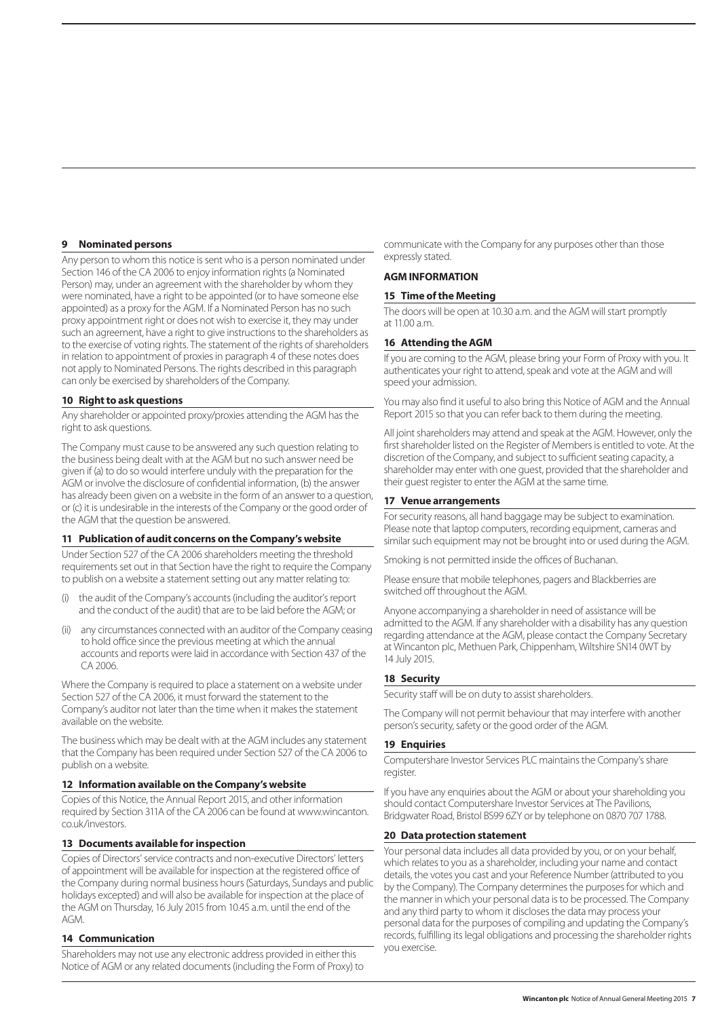#### **9 Nominated persons**

Any person to whom this notice is sent who is a person nominated under Section 146 of the CA 2006 to enjoy information rights (a Nominated Person) may, under an agreement with the shareholder by whom they were nominated, have a right to be appointed (or to have someone else appointed) as a proxy for the AGM. If a Nominated Person has no such proxy appointment right or does not wish to exercise it, they may under such an agreement, have a right to give instructions to the shareholders as to the exercise of voting rights. The statement of the rights of shareholders in relation to appointment of proxies in paragraph 4 of these notes does not apply to Nominated Persons. The rights described in this paragraph can only be exercised by shareholders of the Company.

#### **10 Right to ask questions**

Any shareholder or appointed proxy/proxies attending the AGM has the right to ask questions.

The Company must cause to be answered any such question relating to the business being dealt with at the AGM but no such answer need be given if (a) to do so would interfere unduly with the preparation for the AGM or involve the disclosure of confidential information, (b) the answer has already been given on a website in the form of an answer to a question, or (c) it is undesirable in the interests of the Company or the good order of the AGM that the question be answered.

#### **11 Publication of audit concerns on the Company's website**

Under Section 527 of the CA 2006 shareholders meeting the threshold requirements set out in that Section have the right to require the Company to publish on a website a statement setting out any matter relating to:

- (i) the audit of the Company's accounts (including the auditor's report and the conduct of the audit) that are to be laid before the AGM; or
- (ii) any circumstances connected with an auditor of the Company ceasing to hold office since the previous meeting at which the annual accounts and reports were laid in accordance with Section 437 of the CA 2006.

Where the Company is required to place a statement on a website under Section 527 of the CA 2006, it must forward the statement to the Company's auditor not later than the time when it makes the statement available on the website.

The business which may be dealt with at the AGM includes any statement that the Company has been required under Section 527 of the CA 2006 to publish on a website.

#### **12 Information available on the Company's website**

Copies of this Notice, the Annual Report 2015, and other information required by Section 311A of the CA 2006 can be found at www.wincanton. co.uk/investors.

## **13 Documents available for inspection**

Copies of Directors' service contracts and non-executive Directors' letters of appointment will be available for inspection at the registered office of the Company during normal business hours (Saturdays, Sundays and public holidays excepted) and will also be available for inspection at the place of the AGM on Thursday, 16 July 2015 from 10.45 a.m. until the end of the AGM.

## **14 Communication**

Shareholders may not use any electronic address provided in either this Notice of AGM or any related documents (including the Form of Proxy) to communicate with the Company for any purposes other than those expressly stated.

# **AGM INFORMATION**

#### **15 Time of the Meeting**

The doors will be open at 10.30 a.m. and the AGM will start promptly at  $11.00 a m$ 

#### **16 Attending the AGM**

If you are coming to the AGM, please bring your Form of Proxy with you. It authenticates your right to attend, speak and vote at the AGM and will speed your admission.

You may also find it useful to also bring this Notice of AGM and the Annual Report 2015 so that you can refer back to them during the meeting.

All joint shareholders may attend and speak at the AGM. However, only the first shareholder listed on the Register of Members is entitled to vote. At the discretion of the Company, and subject to sufficient seating capacity, a shareholder may enter with one guest, provided that the shareholder and their guest register to enter the AGM at the same time.

#### **17 Venue arrangements**

For security reasons, all hand baggage may be subject to examination. Please note that laptop computers, recording equipment, cameras and similar such equipment may not be brought into or used during the AGM.

Smoking is not permitted inside the offices of Buchanan.

Please ensure that mobile telephones, pagers and Blackberries are switched off throughout the AGM.

Anyone accompanying a shareholder in need of assistance will be admitted to the AGM. If any shareholder with a disability has any question regarding attendance at the AGM, please contact the Company Secretary at Wincanton plc, Methuen Park, Chippenham, Wiltshire SN14 0WT by 14 July 2015.

# **18 Security**

Security staff will be on duty to assist shareholders.

The Company will not permit behaviour that may interfere with another person's security, safety or the good order of the AGM.

#### **19 Enquiries**

Computershare Investor Services PLC maintains the Company's share register.

If you have any enquiries about the AGM or about your shareholding you should contact Computershare Investor Services at The Pavilions, Bridgwater Road, Bristol BS99 6ZY or by telephone on 0870 707 1788.

#### **20 Data protection statement**

Your personal data includes all data provided by you, or on your behalf, which relates to you as a shareholder, including your name and contact details, the votes you cast and your Reference Number (attributed to you by the Company). The Company determines the purposes for which and the manner in which your personal data is to be processed. The Company and any third party to whom it discloses the data may process your personal data for the purposes of compiling and updating the Company's records, fulfilling its legal obligations and processing the shareholder rights you exercise.